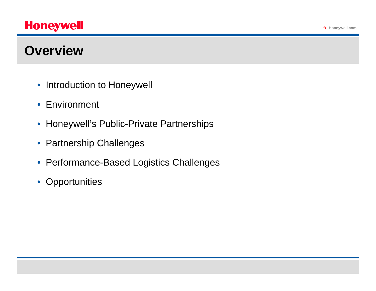## **Overview**

- Introduction to Honeywell
- Environment
- Honeywell's Public-Private Partnerships
- Partnership Challenges
- Performance-Based Logistics Challenges
- Opportunities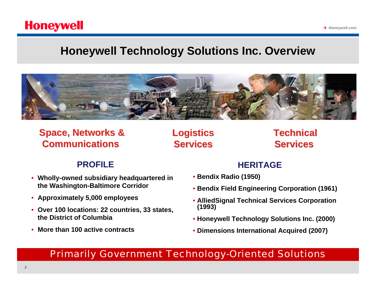## **Honeywell Technology Solutions Inc. Overview**



## **Space, Networks & Communications Communications**

**Logistics Logistics Services Services**

## **Technical Technical Services Services**

**→ Honeywell.com** 

#### **PROFILE**

- **Wholly-owned subsidiary headquartered in the Washington-Baltimore Corridor**
- **Approximately 5,000 employees**
- **Over 100 locations: 22 countries, 33 states, the District of Columbia**
- **More than 100 active contracts**

#### **HERITAGE**

- **Bendix Radio (1950)**
- **Bendix Field Engineering Corporation (1961)**
- **AlliedSignal Technical Services Corporation (1993)**
- **Honeywell Technology Solutions Inc. (2000)**
- **Dimensions International Acquired (2007)**

*Primarily Government Technology-Oriented Solutions*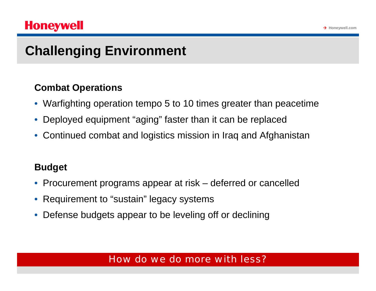## **Honeywell**

# **Challenging Environment**

### **Combat Operations**

- Warfighting operation tempo 5 to 10 times greater than peacetime
- Deployed equipment "aging" faster than it can be replaced
- Continued combat and logistics mission in Iraq and Afghanistan

## **Budget**

- Procurement programs appear at risk deferred or cancelled
- Requirement to "sustain" legacy systems
- Defense budgets appear to be leveling off or declining

### *How do we do more with less?*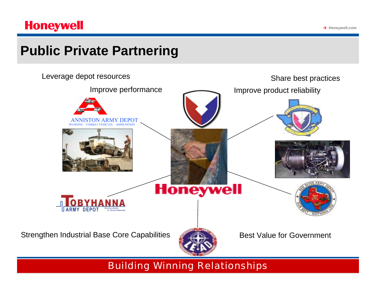## **Public Private Partnering**



*Building Winning Relationships*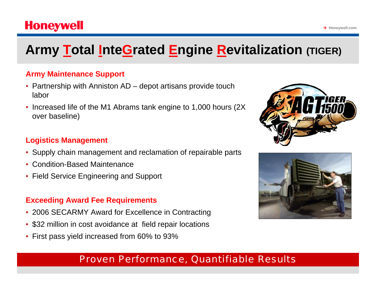## **Honeywell**

# **Army Total InteGrated Engine Revitalization (TIGER)**

#### **Army Maintenance Support**

- Partnership with Anniston AD depot artisans provide touch labor
- Increased life of the M1 Abrams tank engine to 1,000 hours (2X over baseline)

#### **Logistics Management**

- Supply chain management and reclamation of repairable parts
- Condition-Based Maintenance
- Field Service Engineering and Support

#### **Exceeding Award Fee Requirements**

- 2006 SECARMY Award for Excellence in Contracting
- \$32 million in cost avoidance at field repair locations
- First pass yield increased from 60% to 93%

### *Proven Performance, Quantifiable Results*



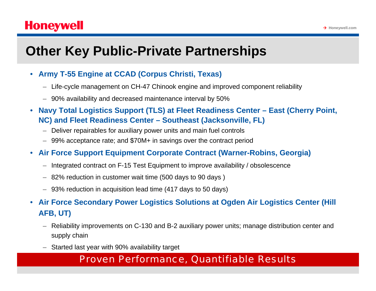# **Other Key Public-Private Partnerships**

- **Army T-55 Engine at CCAD (Corpus Christi, Texas)**
	- Life-cycle management on CH-47 Chinook engine and improved component reliability
	- 90% availability and decreased maintenance interval by 50%
- **Navy Total Logistics Support (TLS) at Fleet Readiness Center East (Cherry Point, NC) and Fleet Readiness Center – Southeast (Jacksonville, FL)**
	- Deliver repairables for auxiliary power units and main fuel controls
	- 99% acceptance rate; and \$70M+ in savings over the contract period
- **Air Force Support Equipment Corporate Contract (Warner-Robins, Georgia)**
	- Integrated contract on F-15 Test Equipment to improve availability / obsolescence
	- 82% reduction in customer wait time (500 days to 90 days )
	- 93% reduction in acquisition lead time (417 days to 50 days)
- **Air Force Secondary Power Logistics Solutions at Ogden Air Logistics Center (Hill AFB, UT)**
	- Reliability improvements on C-130 and B-2 auxiliary power units; manage distribution center and supply chain
	- Started last year with 90% availability target

### *Proven Performance, Quantifiable Results*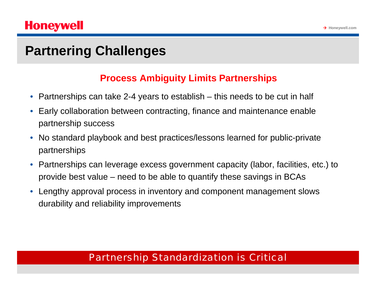## **Partnering Challenges**

### **Process Ambiguity Limits Partnerships**

- Partnerships can take 2-4 years to establish this needs to be cut in half
- Early collaboration between contracting, finance and maintenance enable partnership success
- No standard playbook and best practices/lessons learned for public-private partnerships
- Partnerships can leverage excess government capacity (labor, facilities, etc.) to provide best value – need to be able to quantify these savings in BCAs
- Lengthy approval process in inventory and component management slows durability and reliability improvements

### *Partnership Standardization is Critical*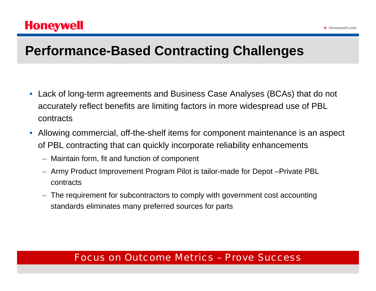## **Performance-Based Contracting Challenges**

- Lack of long-term agreements and Business Case Analyses (BCAs) that do not accurately reflect benefits are limiting factors in more widespread use of PBL contracts
- Allowing commercial, off-the-shelf items for component maintenance is an aspect of PBL contracting that can quickly incorporate reliability enhancements
	- Maintain form, fit and function of component
	- Army Product Improvement Program Pilot is tailor-made for Depot –Private PBL contracts
	- The requirement for subcontractors to comply with government cost accounting standards eliminates many preferred sources for parts

#### *Focus on Outcome Metrics – Prove Success*